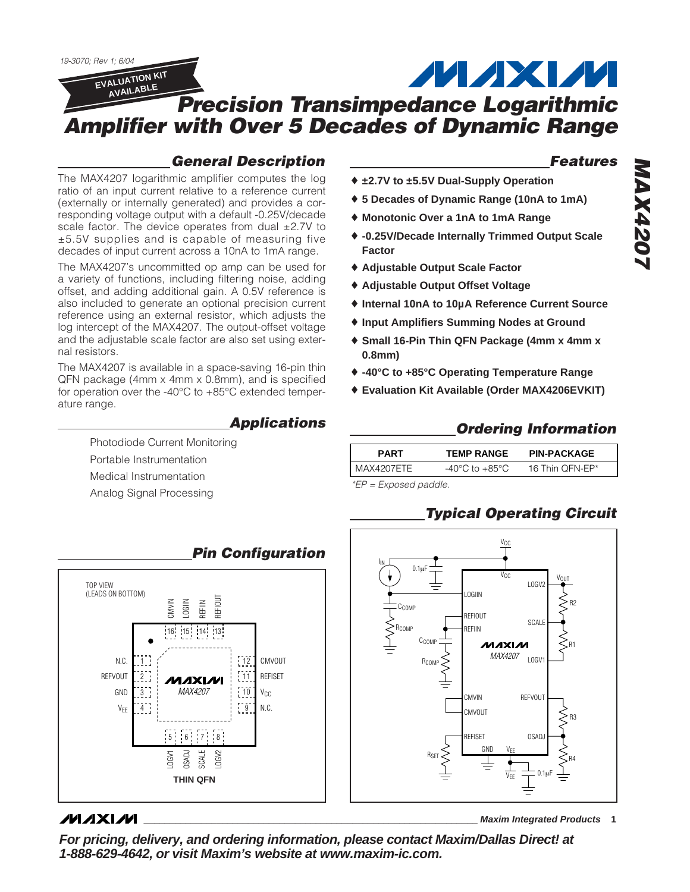*19-3070; Rev 1; 6/04* **ALAXIA EVALUATION KIT AVAILABLE** *Precision Transimpedance Logarithmic Amplifier with Over 5 Decades of Dynamic Range*

### *General Description*

The MAX4207 logarithmic amplifier computes the log ratio of an input current relative to a reference current (externally or internally generated) and provides a corresponding voltage output with a default -0.25V/decade scale factor. The device operates from dual  $\pm 2.7V$  to ±5.5V supplies and is capable of measuring five decades of input current across a 10nA to 1mA range.

The MAX4207's uncommitted op amp can be used for a variety of functions, including filtering noise, adding offset, and adding additional gain. A 0.5V reference is also included to generate an optional precision current reference using an external resistor, which adjusts the log intercept of the MAX4207. The output-offset voltage and the adjustable scale factor are also set using external resistors.

The MAX4207 is available in a space-saving 16-pin thin QFN package (4mm x 4mm x 0.8mm), and is specified for operation over the -40°C to +85°C extended temperature range.

### *Applications*

Photodiode Current Monitoring Portable Instrumentation Medical Instrumentation Analog Signal Processing



### **MAXIM**

*Features*

- ♦ **±2.7V to ±5.5V Dual-Supply Operation**
- ♦ **5 Decades of Dynamic Range (10nA to 1mA)**
- ♦ **Monotonic Over a 1nA to 1mA Range**
- ♦ **-0.25V/Decade Internally Trimmed Output Scale Factor**
- ♦ **Adjustable Output Scale Factor**
- ♦ **Adjustable Output Offset Voltage**
- ♦ **Internal 10nA to 10µA Reference Current Source**
- ♦ **Input Amplifiers Summing Nodes at Ground**
- ♦ **Small 16-Pin Thin QFN Package (4mm x 4mm x 0.8mm)**
- ♦ **-40°C to +85°C Operating Temperature Range**
- ♦ **Evaluation Kit Available (Order MAX4206EVKIT)**

### *Ordering Information*

|                                | <b>PIN-PACKAGE</b> |
|--------------------------------|--------------------|
| I MAX4207ETE<br>-40°C to +85°C | 16 Thin QFN-EP*    |

*\*EP = Exposed paddle.*

# *Typical Operating Circuit*



**\_\_\_\_\_\_\_\_\_\_\_\_\_\_\_\_\_\_\_\_\_\_\_\_\_\_\_\_\_\_\_\_\_\_\_\_\_\_\_\_\_\_\_\_\_\_\_\_\_\_\_\_\_\_\_\_\_\_\_\_\_\_\_\_ Maxim Integrated Products 1 For pricing, delivery, and ordering information, please contact Maxim/Dallas Direct! at 1-888-629-4642, or visit Maxim's website at www.maxim-ic.com.**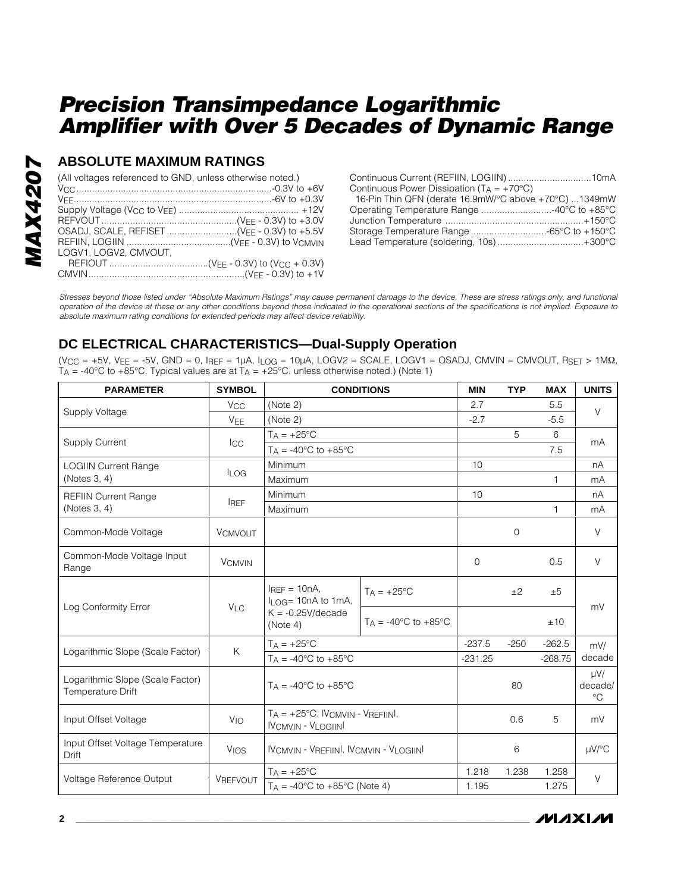### **ABSOLUTE MAXIMUM RATINGS**

| (All voltages referenced to GND, unless otherwise noted.) |  |
|-----------------------------------------------------------|--|
|                                                           |  |
|                                                           |  |
|                                                           |  |
|                                                           |  |
|                                                           |  |
|                                                           |  |
| LOGV1, LOGV2, CMVOUT,                                     |  |
|                                                           |  |
|                                                           |  |

| Continuous Power Dissipation ( $T_A = +70^{\circ}C$ ) |  |
|-------------------------------------------------------|--|
| 16-Pin Thin QFN (derate 16.9mW/°C above +70°C) 1349mW |  |
| Operating Temperature Range 40°C to +85°C             |  |
|                                                       |  |
| Storage Temperature Range -65°C to +150°C             |  |
| Lead Temperature (soldering, 10s) +300°C              |  |

*Stresses beyond those listed under "Absolute Maximum Ratings" may cause permanent damage to the device. These are stress ratings only, and functional operation of the device at these or any other conditions beyond those indicated in the operational sections of the specifications is not implied. Exposure to absolute maximum rating conditions for extended periods may affect device reliability.*

### **DC ELECTRICAL CHARACTERISTICS—Dual-Supply Operation**

 $(V_{CC} = +5V, V_{EE} = -5V, GND = 0, I_{REF} = 1\mu A, I_{LOG} = 10\mu A, LOGV2 = SCALE, LOGV1 = OSADI, CMVIN = CMVOUT, RSET > 1MΩ,$  $T_A$  = -40°C to +85°C. Typical values are at  $T_A$  = +25°C, unless otherwise noted.) (Note 1)

| <b>PARAMETER</b>                                      | <b>SYMBOL</b>         | <b>CONDITIONS</b>                                                                        |                                          | <b>MIN</b> | <b>TYP</b>     | <b>MAX</b>   | <b>UNITS</b>                       |
|-------------------------------------------------------|-----------------------|------------------------------------------------------------------------------------------|------------------------------------------|------------|----------------|--------------|------------------------------------|
|                                                       | <b>V<sub>CC</sub></b> | (Note 2)                                                                                 |                                          | 2.7        |                | 5.5          | $\vee$                             |
| Supply Voltage                                        | <b>V<sub>FF</sub></b> | (Note 2)                                                                                 |                                          | $-2.7$     |                | $-5.5$       |                                    |
| <b>Supply Current</b>                                 |                       | $T_A = +25$ °C                                                                           |                                          |            | 5              | 6            | mA<br>7.5                          |
|                                                       | <b>ICC</b>            | $T_A = -40^{\circ}$ C to $+85^{\circ}$ C                                                 |                                          |            |                |              |                                    |
| <b>LOGIIN Current Range</b>                           | <b>LOG</b>            | Minimum                                                                                  |                                          | 10         |                |              | nA                                 |
| (Notes 3, 4)                                          |                       | Maximum                                                                                  |                                          |            |                | 1            | mA                                 |
| <b>REFIIN Current Range</b>                           |                       | Minimum                                                                                  |                                          | 10         |                |              | nA                                 |
| (Notes 3, 4)                                          | <b>IREF</b>           | Maximum                                                                                  |                                          |            |                | $\mathbf{1}$ | mA                                 |
| Common-Mode Voltage                                   | <b>VCMVOUT</b>        |                                                                                          |                                          |            | $\overline{0}$ |              | $\vee$                             |
| Common-Mode Voltage Input<br>Range                    | <b>VCMVIN</b>         |                                                                                          |                                          | $\Omega$   |                | 0.5          | $\vee$                             |
|                                                       | V <sub>LC</sub>       | $I_{REF} = 10nA$ ,<br>$I_{\text{LOG}}$ = 10nA to 1mA,<br>$K = -0.25V/decade$<br>(Note 4) | $T_A = +25$ °C                           |            | ±2             | ±5           | mV                                 |
| Log Conformity Error                                  |                       |                                                                                          | $T_A = -40^{\circ}$ C to $+85^{\circ}$ C |            |                | ±10          |                                    |
|                                                       |                       | $T_A = +25$ °C                                                                           |                                          | $-237.5$   | $-250$         | $-262.5$     | mV/                                |
| Logarithmic Slope (Scale Factor)                      | K                     | $T_A = -40^{\circ}$ C to $+85^{\circ}$ C                                                 |                                          | $-231.25$  |                | $-268.75$    | decade                             |
| Logarithmic Slope (Scale Factor)<br>Temperature Drift |                       | $Ta = -40^{\circ}C$ to $+85^{\circ}C$                                                    |                                          |            | 80             |              | $\mu V/$<br>decade/<br>$^{\circ}C$ |
| Input Offset Voltage                                  | <b>V<sub>IO</sub></b> | $T_A = +25^{\circ}C$ , IVCMVIN - VREFIINI,<br><b>IVCMVIN - VLOGIINI</b>                  |                                          |            | 0.6            | 5            | mV                                 |
| Input Offset Voltage Temperature<br><b>Drift</b>      | <b>VIOS</b>           | <b>IVCMVIN - VREFIINI, IVCMVIN - VLOGIINI</b>                                            |                                          |            | 6              |              | $\mu$ V/°C                         |
| Voltage Reference Output                              | <b>VREFVOUT</b>       | $T_A = +25^{\circ}C$                                                                     |                                          | 1.218      | 1.238          | 1.258        | $\vee$                             |
|                                                       |                       | $T_A = -40$ °C to $+85$ °C (Note 4)                                                      |                                          | 1.195      |                | 1.275        |                                    |

**MAXIM**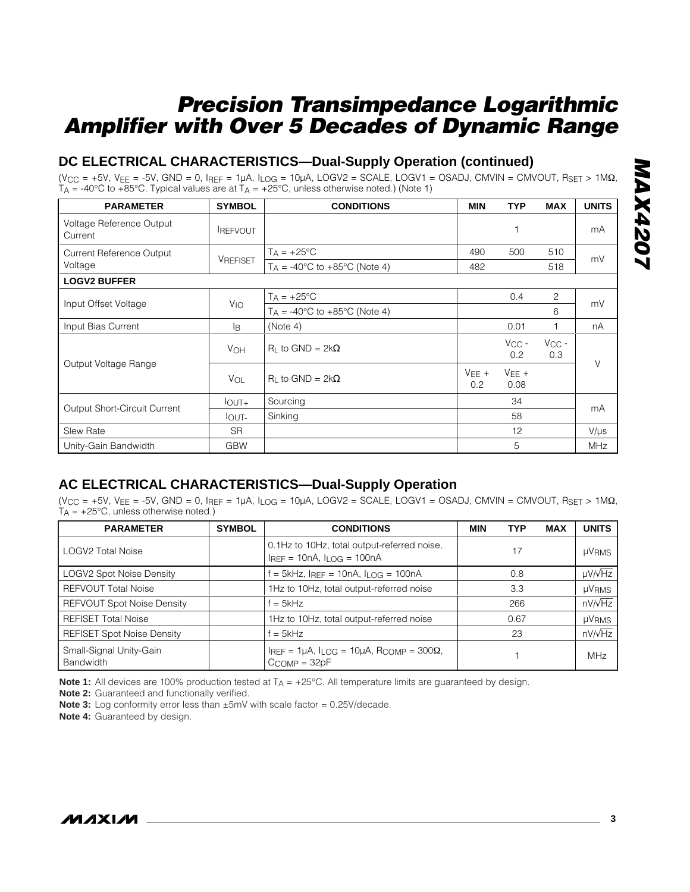### **DC ELECTRICAL CHARACTERISTICS—Dual-Supply Operation (continued)**

(VCC = +5V, VEE = -5V, GND = 0, IREF = 1µA, ILOG = 10µA, LOGV2 = SCALE, LOGV1 = OSADJ, CMVIN = CMVOUT, RSET > 1MΩ, T<sub>A</sub> = -40°C to +85°C. Typical values are at T<sub>A</sub> = +25°C, unless otherwise noted.) (Note 1)

| <b>PARAMETER</b>                    | <b>SYMBOL</b>         | <b>CONDITIONS</b>                                 | <b>MIN</b>     | <b>TYP</b>        | <b>MAX</b>        | <b>UNITS</b> |
|-------------------------------------|-----------------------|---------------------------------------------------|----------------|-------------------|-------------------|--------------|
| Voltage Reference Output<br>Current | <b>IREFVOUT</b>       |                                                   |                |                   |                   | mA           |
| <b>Current Reference Output</b>     |                       | $T_A = +25^{\circ}C$                              | 490            | 500               | 510               | mV           |
| Voltage                             | <b>VREFISET</b>       | $T_A = -40^{\circ}$ C to $+85^{\circ}$ C (Note 4) | 482            |                   | 518               |              |
| <b>LOGV2 BUFFER</b>                 |                       |                                                   |                |                   |                   |              |
|                                     |                       | $T_A = +25^{\circ}C$                              |                | 0.4               | $\overline{c}$    | mV           |
| Input Offset Voltage                | VIO                   | $T_A = -40^{\circ}$ C to $+85^{\circ}$ C (Note 4) |                |                   | 6                 |              |
| Input Bias Current                  | l <sub>B</sub>        | (Note 4)                                          |                | 0.01              |                   | nA           |
|                                     | <b>V<sub>OH</sub></b> | $R_1$ to GND = 2k $\Omega$                        |                | $V_{CC}$ -<br>0.2 | $V_{CC}$ -<br>0.3 | $\vee$       |
| Output Voltage Range                | VOL                   | $R_1$ to GND = 2k $\Omega$                        | $VFE +$<br>0.2 | $VEE +$<br>0.08   |                   |              |
|                                     | $I_{\text{OUT+}}$     | Sourcing                                          |                | 34                |                   | mA           |
| <b>Output Short-Circuit Current</b> | <b>IOUT-</b>          | Sinking                                           |                | 58                |                   |              |
| <b>Slew Rate</b>                    | <b>SR</b>             |                                                   |                | 12                |                   | $V/\mu s$    |
| Unity-Gain Bandwidth                | <b>GBW</b>            |                                                   |                | 5                 |                   | <b>MHz</b>   |

### **AC ELECTRICAL CHARACTERISTICS—Dual-Supply Operation**

 $(V_{CC} = +5V, V_{EE} = -5V, GND = 0, I_{REF} = 1\mu A, I_{LOG} = 10\mu A, LOGV2 = SCALE, LOGV1 = OSADI, CMVIN = CMVOUT, R_{SET} > 1MΩ,$  $T_A = +25^{\circ}C$ , unless otherwise noted.)

| <b>PARAMETER</b>                            | <b>SYMBOL</b> | <b>CONDITIONS</b>                                                                                  |     | <b>TYP</b> | <b>MAX</b>        | <b>UNITS</b> |
|---------------------------------------------|---------------|----------------------------------------------------------------------------------------------------|-----|------------|-------------------|--------------|
| <b>LOGV2 Total Noise</b>                    |               | 0.1Hz to 10Hz, total output-referred noise,<br>17<br>$I_{REF} = 10nA, I_{LOG} = 100nA$             |     |            | <b>µVRMS</b>      |              |
| <b>LOGV2 Spot Noise Density</b>             |               | $=$ 5kHz, $I_{REF}$ = 10nA, $I_{LOG}$ = 100nA                                                      | 0.8 |            | $\mu V/\sqrt{Hz}$ |              |
| <b>REFVOUT Total Noise</b>                  |               | 1Hz to 10Hz, total output-referred noise                                                           | 3.3 |            | <b>µVRMS</b>      |              |
| <b>REFVOUT Spot Noise Density</b>           |               | $f = 5kHz$                                                                                         | 266 |            | $nV/\sqrt{Hz}$    |              |
| <b>REFISET Total Noise</b>                  |               | 1Hz to 10Hz, total output-referred noise<br>0.67                                                   |     |            | <b>µVRMS</b>      |              |
| <b>REFISET Spot Noise Density</b>           |               | $f = 5kHz$                                                                                         |     | 23         |                   | nV/vHz       |
| Small-Signal Unity-Gain<br><b>Bandwidth</b> |               | $I_{REF} = 1\mu A$ , $I_{LOG} = 10\mu A$ , R <sub>COMP</sub> = 300 $\Omega$ ,<br>$C_{COMP} = 32pF$ |     |            |                   | <b>MHz</b>   |

**Note 1:** All devices are 100% production tested at T<sub>A</sub> = +25°C. All temperature limits are guaranteed by design.

**Note 2:** Guaranteed and functionally verified.

**Note 3:** Log conformity error less than ±5mV with scale factor = 0.25V/decade.

**Note 4:** Guaranteed by design.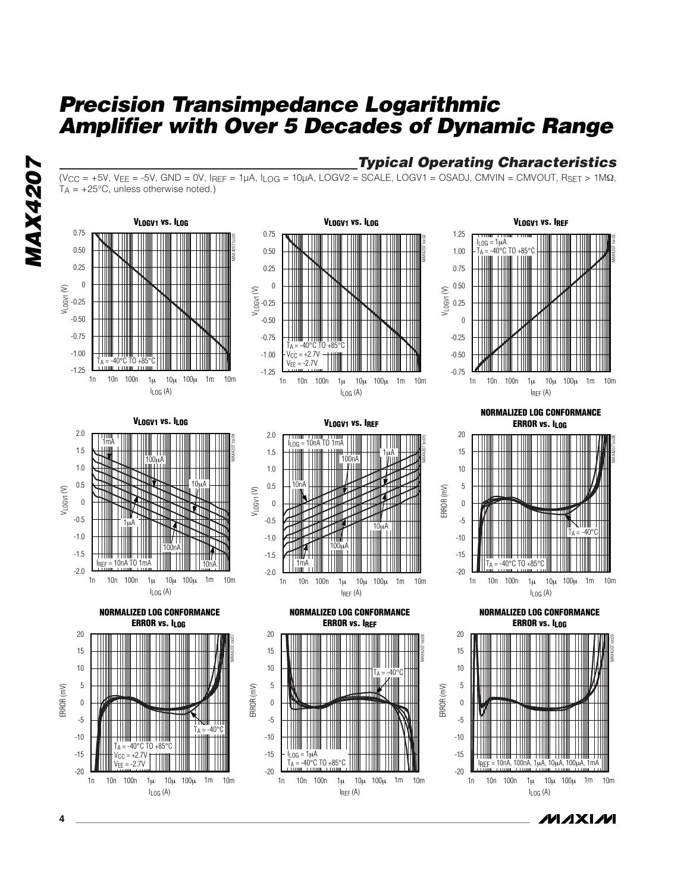*MAX4207* **MAX4207** 







**VLOGV1 vs. IREF**



**VLOGV1 vs. ILOG** MAX4207 toc04  $I_{LOG}$  $(A)$ VLOGV1 (V) 1n 10n 100n 1μ 10μ 100μ 1m 10m -1.5 -1.0 -0.5 0 0.5 1.0 1.5 2.0 -2.0  $100$ 1mA 10µA 1µA  $I_{BEF} = 10nA T0 1mA$ 100nA 10nA



VLOGV1 (V)

-0.5 0 0.5 1.0 1.5 2.0

10nA

 $I<sub>LOG</sub> = 10nA TO 1mA$ 







**NORMALIZED LOG CONFORMANCE ERROR vs. ILOG**



**MAXIM** 





 $I_{REF}$  (A)

10µA



**4 \_\_\_\_\_\_\_\_\_\_\_\_\_\_\_\_\_\_\_\_\_\_\_\_\_\_\_\_\_\_\_\_\_\_\_\_\_\_\_\_\_\_\_\_\_\_\_\_\_\_\_\_\_\_\_\_\_\_\_\_\_\_\_\_\_\_\_\_\_\_\_\_\_\_\_\_\_\_\_\_\_\_\_\_\_\_\_**

ERROR (mV)

20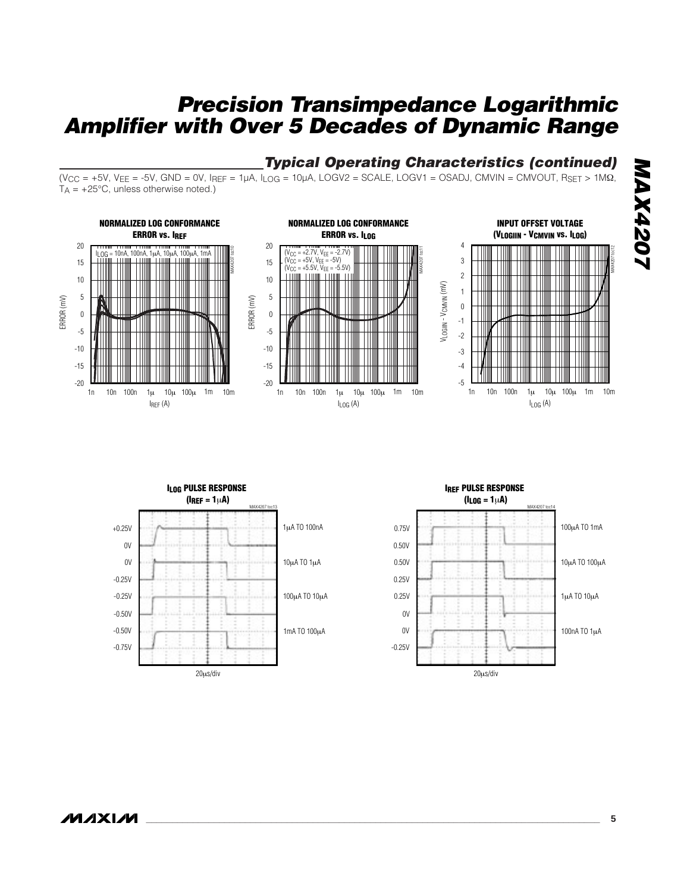## *Typical Operating Characteristics (continued)*

 $(V_{CC} = +5V, V_{EE} = -5V, GND = 0V, I_{REF} = 1\mu A, I_{LOG} = 10\mu A, LOGV2 = SCALE, LOGV1 = OSADJ, CMVIN = CMVOUT, RSET > 1MΩ,$  $T_A = +25^{\circ}C$ , unless otherwise noted.)



MAX4207 toc12



**IREF PULSE RESPONSE**   $(l_{L0G} = 1 \mu A)$ 

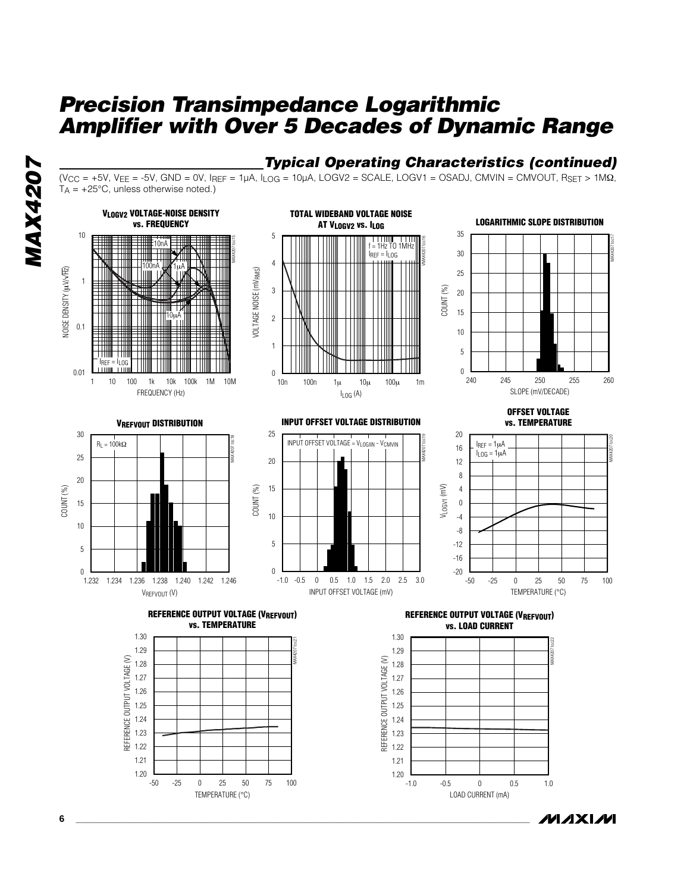# *MAX4207* **MAX4207**

#### *Typical Operating Characteristics (continued)*  $(V_{CC} = +5V, V_{EE} = -5V, GND = 0V, I_{REF} = 1\mu A, I_{LOG} = 10\mu A, LOGV2 = SCALE, LOGV1 = OSADI, CMVIN = CMVOUT, R_{SET} > 1\mu A, I_{IG} = 10\mu A, I_{IG} = 10\mu A, I_{IG} = 10\mu A, I_{IG} = 10\mu A, I_{IG} = 10\mu A, I_{IG} = 10\mu A, I_{IG} = 10\mu A, I_{IG} = 10\mu A, I_{IG} = 10\mu A, I_{IG} = 10\mu A, I_{IG} = 10\mu A, I_{IG} = 1$  $T_A$  = +25°C, unless otherwise noted.)







**VREFVOUT DISTRIBUTION**



**INPUT OFFSET VOLTAGE DISTRIBUTION**



**OFFSET VOLTAGE vs. TEMPERATURE**



**REFERENCE OUTPUT VOLTAGE (VREFVOUT) vs. TEMPERATURE**



**REFERENCE OUTPUT VOLTAGE (VREFVOUT) vs. LOAD CURRENT**



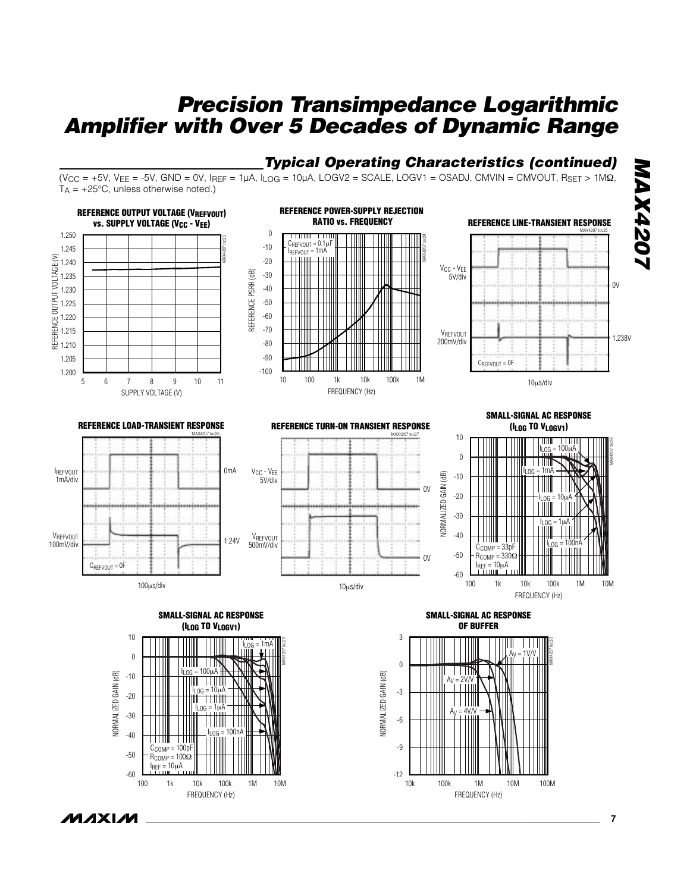# *Typical Operating Characteristics (continued)*

 $(V_{CC} = +5V, V_{EE} = -5V, GND = 0V, I_{REF} = 1\mu A, I_{LOG} = 10\mu A, LOGV2 = SCALE, LOGV1 = OSADI, CMVIN = CMVOUT, RSET > 1MΩ,$  $T_A = +25^{\circ}C$ , unless otherwise noted.)



**MAXM** 

**\_\_\_\_\_\_\_\_\_\_\_\_\_\_\_\_\_\_\_\_\_\_\_\_\_\_\_\_\_\_\_\_\_\_\_\_\_\_\_\_\_\_\_\_\_\_\_\_\_\_\_\_\_\_\_\_\_\_\_\_\_\_\_\_\_\_\_\_\_\_\_\_\_\_\_\_\_\_\_\_\_\_\_\_\_\_\_ 7**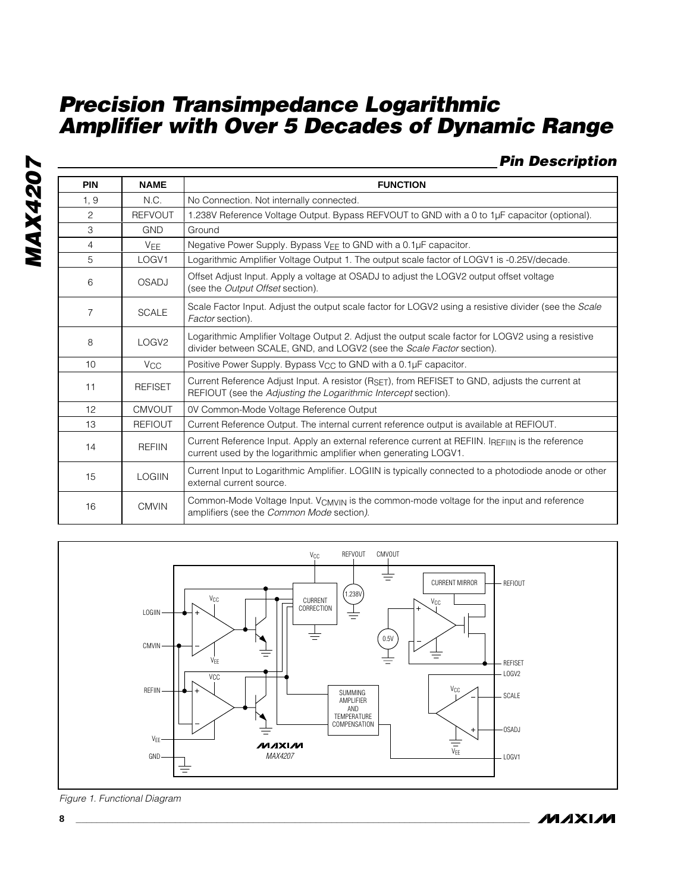### *Pin Description*

| <b>PIN</b>      | <b>NAME</b>           | <b>FUNCTION</b>                                                                                                                                                             |  |  |
|-----------------|-----------------------|-----------------------------------------------------------------------------------------------------------------------------------------------------------------------------|--|--|
| 1, 9            | N.C.                  | No Connection. Not internally connected.                                                                                                                                    |  |  |
| 2               | <b>REFVOUT</b>        | 1.238V Reference Voltage Output. Bypass REFVOUT to GND with a 0 to 1µF capacitor (optional).                                                                                |  |  |
| 3               | <b>GND</b>            | Ground                                                                                                                                                                      |  |  |
| 4               | VEE                   | Negative Power Supply. Bypass V <sub>EE</sub> to GND with a 0.1µF capacitor.                                                                                                |  |  |
| 5               | LOGV1                 | Logarithmic Amplifier Voltage Output 1. The output scale factor of LOGV1 is -0.25V/decade.                                                                                  |  |  |
| 6               | <b>OSADJ</b>          | Offset Adjust Input. Apply a voltage at OSADJ to adjust the LOGV2 output offset voltage<br>(see the <i>Output Offset</i> section).                                          |  |  |
| 7               | <b>SCALE</b>          | Scale Factor Input. Adjust the output scale factor for LOGV2 using a resistive divider (see the Scale<br>Factor section).                                                   |  |  |
| 8               | LOGV <sub>2</sub>     | Logarithmic Amplifier Voltage Output 2. Adjust the output scale factor for LOGV2 using a resistive<br>divider between SCALE, GND, and LOGV2 (see the Scale Factor section). |  |  |
| 10 <sup>1</sup> | <b>V<sub>CC</sub></b> | Positive Power Supply. Bypass V <sub>CC</sub> to GND with a 0.1µF capacitor.                                                                                                |  |  |
| 11              | <b>REFISET</b>        | Current Reference Adjust Input. A resistor (RSET), from REFISET to GND, adjusts the current at<br>REFIOUT (see the Adjusting the Logarithmic Intercept section).            |  |  |
| 12              | <b>CMVOUT</b>         | 0V Common-Mode Voltage Reference Output                                                                                                                                     |  |  |
| 13              | <b>REFIOUT</b>        | Current Reference Output. The internal current reference output is available at REFIOUT.                                                                                    |  |  |
| 14              | <b>REFIIN</b>         | Current Reference Input. Apply an external reference current at REFIIN. IREFIIN is the reference<br>current used by the logarithmic amplifier when generating LOGV1.        |  |  |
| 15              | <b>LOGIIN</b>         | Current Input to Logarithmic Amplifier. LOGIIN is typically connected to a photodiode anode or other<br>external current source.                                            |  |  |
| 16              | <b>CMVIN</b>          | Common-Mode Voltage Input. VCMVIN is the common-mode voltage for the input and reference<br>amplifiers (see the Common Mode section).                                       |  |  |



*Figure 1. Functional Diagram*

**MAXM**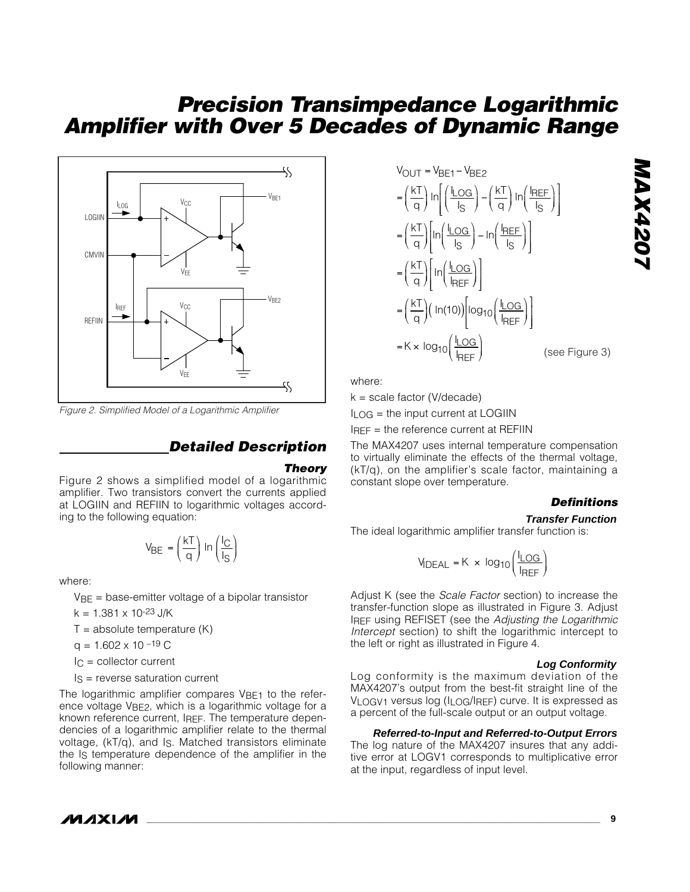

*Figure 2. Simplified Model of a Logarithmic Amplifier*

#### *Detailed Description*

#### *Theory*

Figure 2 shows a simplified model of a logarithmic amplifier. Two transistors convert the currents applied at LOGIIN and REFIIN to logarithmic voltages according to the following equation:

$$
V_{BE} = \left(\frac{kT}{q}\right) \ln\left(\frac{I_C}{I_S}\right)
$$

where:

 $VBE = base-emitter voltage of a bipolar transistor$ 

 $k = 1.381 \times 10^{-23}$  J/K

 $T =$  absolute temperature  $(K)$ 

 $q = 1.602 \times 10^{-19}$  C

 $IC =$  collector current

 $Is = reverse saturation current$ 

The logarithmic amplifier compares VBE1 to the reference voltage VBE2, which is a logarithmic voltage for a known reference current, IREF. The temperature dependencies of a logarithmic amplifier relate to the thermal voltage, (kT/q), and IS. Matched transistors eliminate the Is temperature dependence of the amplifier in the following manner:

$$
V_{OUT} = V_{BE1} - V_{BE2}
$$
\n
$$
= \left(\frac{kT}{q}\right) \ln\left(\frac{I_{LOG}}{I_S}\right) - \left(\frac{kT}{q}\right) \ln\left(\frac{I_{REF}}{I_S}\right)
$$
\n
$$
= \left(\frac{kT}{q}\right) \left[\ln\left(\frac{I_{LOG}}{I_S}\right) - \ln\left(\frac{I_{REF}}{I_S}\right)\right]
$$
\n
$$
= \left(\frac{kT}{q}\right) \left[\ln\left(\frac{I_{LOG}}{I_{REF}}\right)\right]
$$
\n
$$
= \left(\frac{kT}{q}\right) \left(\ln(10)\right) \left[\log_{10}\left(\frac{I_{LOG}}{I_{REF}}\right)\right]
$$
\n
$$
= K \times \log_{10}\left(\frac{I_{LOG}}{I_{REF}}\right) \qquad \text{(see}
$$

e Figure 3)

*MAX4207*

**NAX4207** 

where:

 $k = scale factor (V/decode)$ 

 $I_{LOG}$  = the input current at LOGIIN

 $I<sub>REF</sub>$  = the reference current at REFIIN

The MAX4207 uses internal temperature compensation to virtually eliminate the effects of the thermal voltage, (kT/q), on the amplifier's scale factor, maintaining a constant slope over temperature.

#### *Definitions*

#### **Transfer Function**

The ideal logarithmic amplifier transfer function is:

$$
MDEAL = K \times log10 \left( \frac{I_{LOG}}{I_{REF}} \right)
$$

Adjust K (see the *Scale Factor* section) to increase the transfer-function slope as illustrated in Figure 3. Adjust IREF using REFISET (see the *Adjusting the Logarithmic Intercept* section) to shift the logarithmic intercept to the left or right as illustrated in Figure 4.

#### **Log Conformity**

Log conformity is the maximum deviation of the MAX4207's output from the best-fit straight line of the VLOGV1 versus log (ILOG/IREF) curve. It is expressed as a percent of the full-scale output or an output voltage.

#### **Referred-to-Input and Referred-to-Output Errors**

The log nature of the MAX4207 insures that any additive error at LOGV1 corresponds to multiplicative error at the input, regardless of input level.

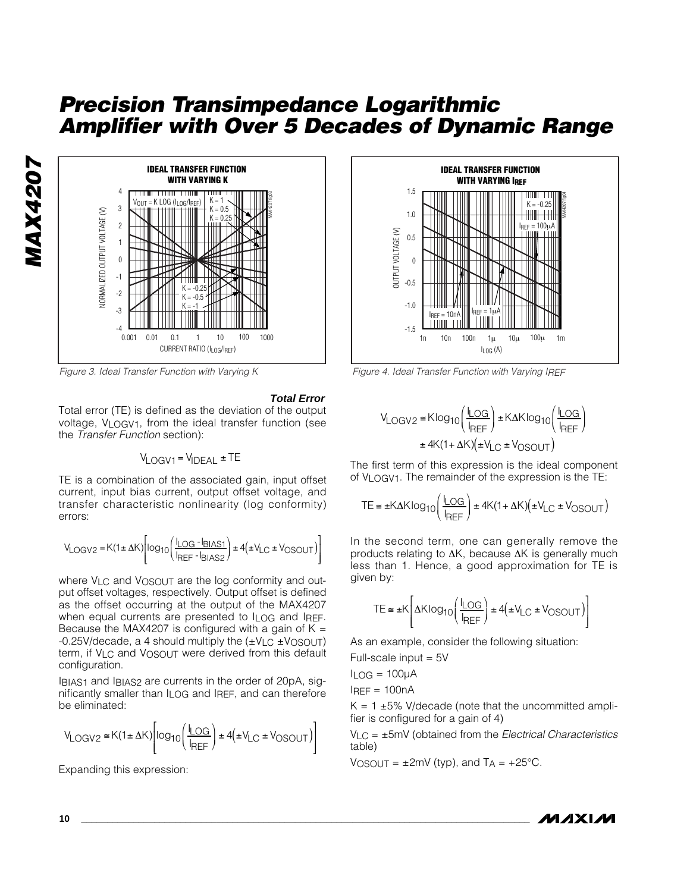

*Figure 3. Ideal Transfer Function with Varying K*

#### **Total Error**

Total error (TE) is defined as the deviation of the output voltage, VLOGV1, from the ideal transfer function (see the *Transfer Function* section):

$$
V_{LOGV1} = V_{IDEAL} \pm TE
$$

TE is a combination of the associated gain, input offset current, input bias current, output offset voltage, and transfer characteristic nonlinearity (log conformity) errors:

$$
V_{\text{LOGV2}} = K(1 \pm \Delta K) \left[ \log_{10} \left( \frac{I_{\text{LOG}} - I_{\text{BIAS1}}}{I_{\text{REF}} - I_{\text{BIAS2}}} \right) \pm 4 \left( \pm V_{\text{LC}} \pm V_{\text{OSOUT}} \right) \right]
$$

where VLC and VOSOUT are the log conformity and output offset voltages, respectively. Output offset is defined as the offset occurring at the output of the MAX4207 when equal currents are presented to I<sub>LOG</sub> and IREF. Because the MAX4207 is configured with a gain of  $K =$  $-0.25V$ /decade, a 4 should multiply the  $(\pm V_{\text{LC}} \pm V_{\text{OSOUT}})$ term, if VLC and VOSOUT were derived from this default configuration.

IBIAS1 and IBIAS2 are currents in the order of 20pA, significantly smaller than ILOG and IREF, and can therefore be eliminated:

$$
V_{\text{LOGV2}} \cong K(1 \pm \Delta K) \left[ \log_{10} \left( \frac{I_{\text{LOG}}}{I_{\text{REF}}} \right) \pm 4 \left( \pm V_{\text{LC}} \pm V_{\text{OSOUT}} \right) \right]
$$

Expanding this expression:



*Figure 4. Ideal Transfer Function with Varying IREF*

$$
V_{LOGV2} \cong K \log_{10} \left( \frac{I_{LOG}}{I_{REF}} \right) \pm K \Delta K \log_{10} \left( \frac{I_{LOG}}{I_{REF}} \right)
$$

$$
\pm 4K (1 + \Delta K) \left( \pm V_{LC} \pm V_{OSOUT} \right)
$$

The first term of this expression is the ideal component of VLOGV1. The remainder of the expression is the TE:

$$
TE \cong \pm K\Delta K \log_{10}\left(\frac{I_{\text{LOG}}}{I_{\text{REF}}}\right) \pm 4K(1 + \Delta K)\left(\pm V_{\text{LC}} \pm V_{\text{OSOUT}}\right)
$$

In the second term, one can generally remove the products relating to ∆K, because ∆K is generally much less than 1. Hence, a good approximation for TE is given by:

$$
TE \cong \pm K \left[ \Delta K \log_{10} \left( \frac{I_{\text{LOG}}}{I_{\text{REF}}} \right) \pm 4 \left( \pm V_{\text{LC}} \pm V_{\text{OSOUT}} \right) \right]
$$

As an example, consider the following situation:

Full-scale input = 5V

$$
I_{LOG} = 100 \mu A
$$

 $I<sub>RFF</sub> = 100nA$ 

 $K = 1 \pm 5\%$  V/decade (note that the uncommitted amplifier is configured for a gain of 4)

VLC = ±5mV (obtained from the *Electrical Characteristics* table)

 $V$ OSOUT =  $\pm$ 2mV (typ), and T<sub>A</sub> =  $+25^{\circ}$ C.



*MAX4207*

**MAX4207**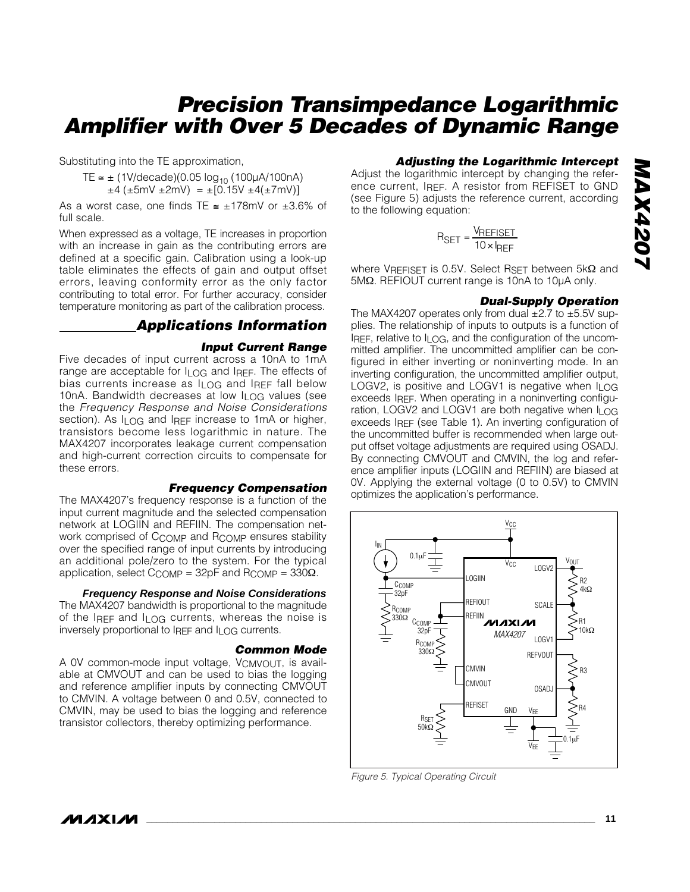Substituting into the TE approximation,

TE  $\leq$  ± (1V/decade)(0.05 log<sub>10</sub> (100µA/100nA)  $\pm 4$  ( $\pm 5$ mV  $\pm 2$ mV) =  $\pm$ [0.15V  $\pm 4$ ( $\pm 7$ mV)]

As a worst case, one finds TE  $\approx \pm 178$ mV or  $\pm 3.6\%$  of full scale.

When expressed as a voltage, TE increases in proportion with an increase in gain as the contributing errors are defined at a specific gain. Calibration using a look-up table eliminates the effects of gain and output offset errors, leaving conformity error as the only factor contributing to total error. For further accuracy, consider temperature monitoring as part of the calibration process.

### *Applications Information*

#### *Input Current Range*

Five decades of input current across a 10nA to 1mA range are acceptable for ILOG and IREF. The effects of bias currents increase as ILOG and IREF fall below 10nA. Bandwidth decreases at low ILOG values (see the *Frequency Response and Noise Considerations* section). As I<sub>LOG</sub> and IREF increase to 1mA or higher, transistors become less logarithmic in nature. The MAX4207 incorporates leakage current compensation and high-current correction circuits to compensate for these errors.

#### *Frequency Compensation*

The MAX4207's frequency response is a function of the input current magnitude and the selected compensation network at LOGIIN and REFIIN. The compensation network comprised of CCOMP and RCOMP ensures stability over the specified range of input currents by introducing an additional pole/zero to the system. For the typical application, select C<sub>COMP</sub> = 32pF and R<sub>COMP</sub> = 330Ω.

**Frequency Response and Noise Considerations**

The MAX4207 bandwidth is proportional to the magnitude of the IREF and ILOG currents, whereas the noise is inversely proportional to IREF and ILOG currents.

#### *Common Mode*

A 0V common-mode input voltage, VCMVOUT, is available at CMVOUT and can be used to bias the logging and reference amplifier inputs by connecting CMVOUT to CMVIN. A voltage between 0 and 0.5V, connected to CMVIN, may be used to bias the logging and reference transistor collectors, thereby optimizing performance.

#### *Adjusting the Logarithmic Intercept*

Adjust the logarithmic intercept by changing the reference current, IREF. A resistor from REFISET to GND (see Figure 5) adjusts the reference current, according to the following equation:

$$
R_{\text{SET}} = \frac{V_{\text{REFISET}}}{10 \times I_{\text{REF}}}
$$

where VREFISET is 0.5V. Select RSET between 5kΩ and 5MΩ. REFIOUT current range is 10nA to 10µA only.

#### *Dual-Supply Operation*

The MAX4207 operates only from dual  $\pm 2.7$  to  $\pm 5.5V$  supplies. The relationship of inputs to outputs is a function of IREF, relative to  $I_{LOG}$ , and the configuration of the uncommitted amplifier. The uncommitted amplifier can be configured in either inverting or noninverting mode. In an inverting configuration, the uncommitted amplifier output, LOGV2, is positive and LOGV1 is negative when  $I_{\text{LOG}}$ exceeds IREF. When operating in a noninverting configuration, LOGV2 and LOGV1 are both negative when ILOG exceeds IREF (see Table 1). An inverting configuration of the uncommitted buffer is recommended when large output offset voltage adjustments are required using OSADJ. By connecting CMVOUT and CMVIN, the log and reference amplifier inputs (LOGIIN and REFIIN) are biased at 0V. Applying the external voltage (0 to 0.5V) to CMVIN optimizes the application's performance.



*Figure 5. Typical Operating Circuit*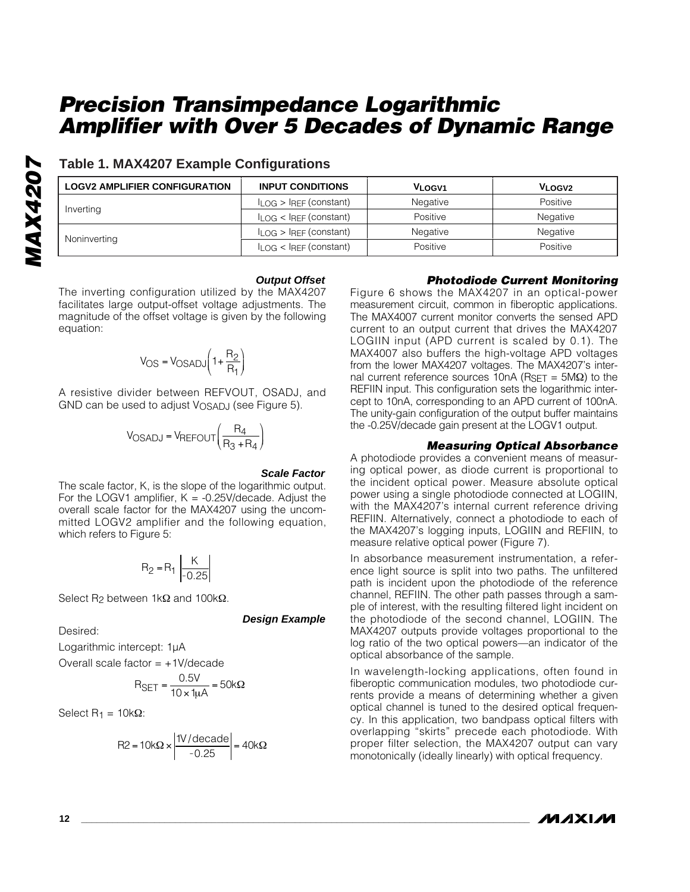| <b>LOGV2 AMPLIFIER CONFIGURATION</b> | <b>INPUT CONDITIONS</b>          | <b>VLOGV1</b> | VLOGV <sub>2</sub> |
|--------------------------------------|----------------------------------|---------------|--------------------|
|                                      | $I_{LOG}$ > $I_{REF}$ (constant) | Negative      | Positive           |
| Inverting                            | $I_{LOG}$ < $I_{REF}$ (constant) | Positive      | Negative           |
|                                      | $I_{LOG}$ > $I_{REF}$ (constant) | Negative      | Negative           |
| Noninverting                         | $I_{LOG}$ < $I_{REF}$ (constant) | Positive      | Positive           |

### **Table 1. MAX4207 Example Configurations**

#### **Output Offset**

The inverting configuration utilized by the MAX4207 facilitates large output-offset voltage adjustments. The magnitude of the offset voltage is given by the following equation:

$$
V_{OS} = V_{OSADI}\left(1 + \frac{R_2}{R_1}\right)
$$

A resistive divider between REFVOUT, OSADJ, and GND can be used to adjust  $V_{OSAD,J}$  (see Figure 5).

$$
V_{OSADI} = V_{REFOUT}\left(\frac{R_4}{R_3 + R_4}\right)
$$

#### **Scale Factor**

**Design Example**

The scale factor, K, is the slope of the logarithmic output. For the LOGV1 amplifier,  $K = -0.25V$  decade. Adjust the overall scale factor for the MAX4207 using the uncommitted LOGV2 amplifier and the following equation, which refers to Figure 5:

$$
R_2 = R_1 \left| \frac{K}{-0.25} \right|
$$

Select R<sub>2</sub> between 1kΩ and 100kΩ.

Desired:

*MAX4207*

**MAX4207** 

Logarithmic intercept: 1µA

Overall scale factor  $= +1$ V/decade

$$
R_{\text{SET}} = \frac{0.5V}{10 \times 1 \mu A} = 50k\Omega
$$

Select R<sub>1</sub> =  $10kΩ$ :

$$
R2 = 10k\Omega \times \left| \frac{1V/\text{decade}}{-0.25} \right| = 40k\Omega
$$

#### *Photodiode Current Monitoring*

Figure 6 shows the MAX4207 in an optical-power measurement circuit, common in fiberoptic applications. The MAX4007 current monitor converts the sensed APD current to an output current that drives the MAX4207 LOGIIN input (APD current is scaled by 0.1). The MAX4007 also buffers the high-voltage APD voltages from the lower MAX4207 voltages. The MAX4207's internal current reference sources 10nA (RSET =  $5MΩ$ ) to the REFIIN input. This configuration sets the logarithmic intercept to 10nA, corresponding to an APD current of 100nA. The unity-gain configuration of the output buffer maintains the -0.25V/decade gain present at the LOGV1 output.

#### *Measuring Optical Absorbance*

A photodiode provides a convenient means of measuring optical power, as diode current is proportional to the incident optical power. Measure absolute optical power using a single photodiode connected at LOGIIN, with the MAX4207's internal current reference driving REFIIN. Alternatively, connect a photodiode to each of the MAX4207's logging inputs, LOGIIN and REFIIN, to measure relative optical power (Figure 7).

In absorbance measurement instrumentation, a reference light source is split into two paths. The unfiltered path is incident upon the photodiode of the reference channel, REFIIN. The other path passes through a sample of interest, with the resulting filtered light incident on the photodiode of the second channel, LOGIIN. The MAX4207 outputs provide voltages proportional to the log ratio of the two optical powers—an indicator of the optical absorbance of the sample.

In wavelength-locking applications, often found in fiberoptic communication modules, two photodiode currents provide a means of determining whether a given optical channel is tuned to the desired optical frequency. In this application, two bandpass optical filters with overlapping "skirts" precede each photodiode. With proper filter selection, the MAX4207 output can vary monotonically (ideally linearly) with optical frequency.

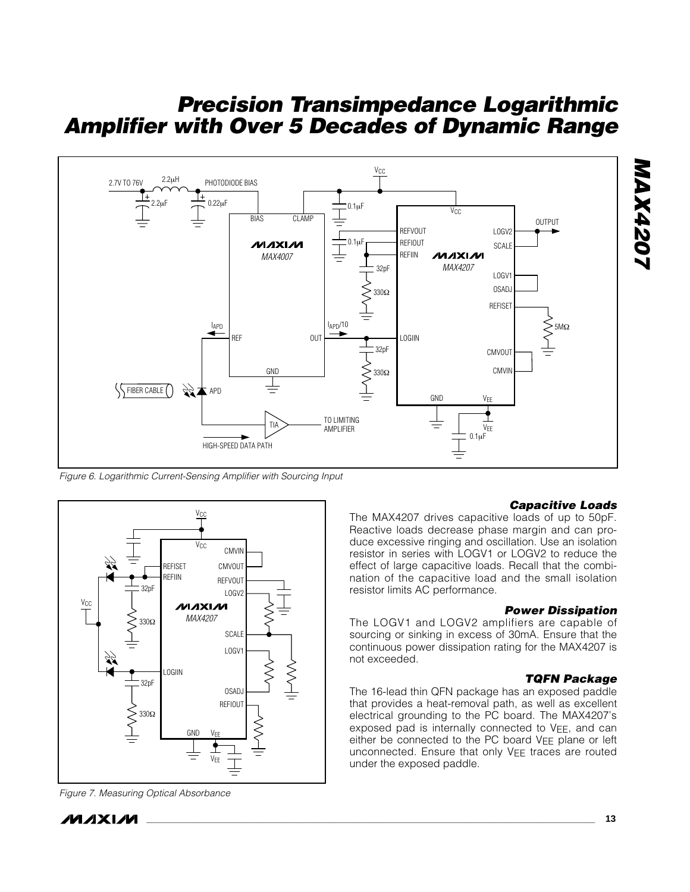

*Figure 6. Logarithmic Current-Sensing Amplifier with Sourcing Input*



*Figure 7. Measuring Optical Absorbance*

### */VI/IXI/VI*

#### *Capacitive Loads*

*MAX4207*

**NAX4207** 

The MAX4207 drives capacitive loads of up to 50pF. Reactive loads decrease phase margin and can produce excessive ringing and oscillation. Use an isolation resistor in series with LOGV1 or LOGV2 to reduce the effect of large capacitive loads. Recall that the combination of the capacitive load and the small isolation resistor limits AC performance.

#### *Power Dissipation*

The LOGV1 and LOGV2 amplifiers are capable of sourcing or sinking in excess of 30mA. Ensure that the continuous power dissipation rating for the MAX4207 is not exceeded.

#### *TQFN Package*

The 16-lead thin QFN package has an exposed paddle that provides a heat-removal path, as well as excellent electrical grounding to the PC board. The MAX4207's exposed pad is internally connected to  $V_{EE}$ , and can either be connected to the PC board VEE plane or left unconnected. Ensure that only VEE traces are routed under the exposed paddle.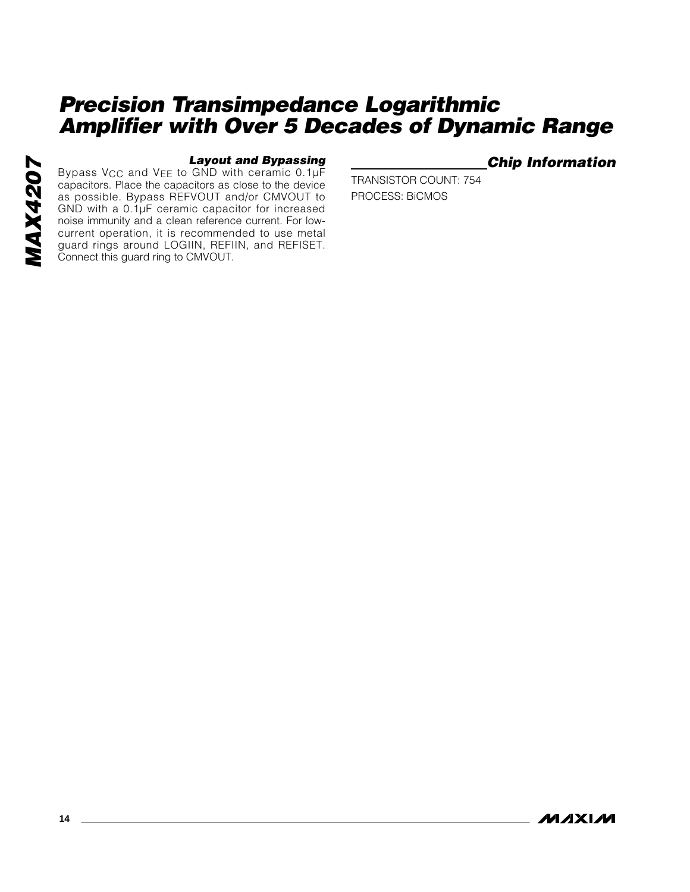#### *Layout and Bypassing*

Bypass V<sub>CC</sub> and V<sub>EE</sub> to GND with ceramic 0.1µF capacitors. Place the capacitors as close to the device as possible. Bypass REFVOUT and/or CMVOUT to GND with a 0.1µF ceramic capacitor for increased noise immunity and a clean reference current. For lowcurrent operation, it is recommended to use metal guard rings around LOGIIN, REFIIN, and REFISET. Connect this guard ring to CMVOUT.

### *Chip Information*

TRANSISTOR COUNT: 754 PROCESS: BiCMOS

**MAXM**